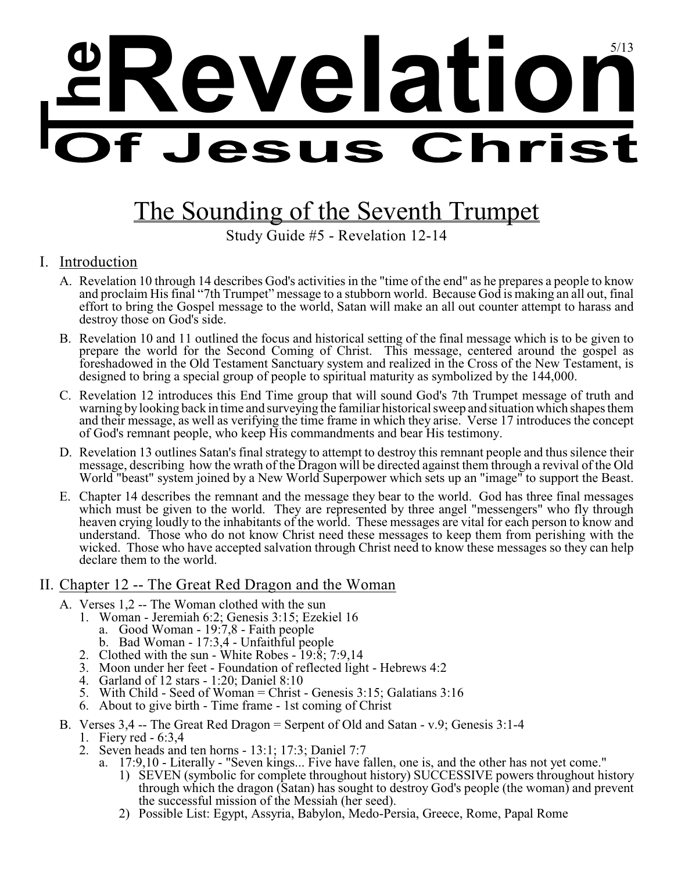# **<sup>h</sup>Revelation <sup>e</sup>** 5/13

# The Sounding of the Seventh Trumpet

Study Guide #5 - Revelation 12-14

## I. Introduction

- A. Revelation 10 through 14 describes God's activities in the "time of the end" as he prepares a people to know and proclaim His final "7th Trumpet" message to a stubborn world. Because God is making an all out, final effort to bring the Gospel message to the world, Satan will make an all out counter attempt to harass and destroy those on God's side.
- B. Revelation 10 and 11 outlined the focus and historical setting of the final message which is to be given to prepare the world for the Second Coming of Christ. This message, centered around the gospel as foreshadowed in the Old Testament Sanctuary system and realized in the Cross of the New Testament, is designed to bring a special group of people to spiritual maturity as symbolized by the 144,000.
- C. Revelation 12 introduces this End Time group that will sound God's 7th Trumpet message of truth and warning bylooking back in time and surveying the familiar historical sweep and situationwhich shapes them and their message, as well as verifying the time frame in which they arise. Verse 17 introduces the concept of God's remnant people, who keep His commandments and bear His testimony.
- D. Revelation 13 outlines Satan's final strategy to attempt to destroy this remnant people and thus silence their message, describing how the wrath of the Dragon will be directed against them through a revival of the Old World "beast" system joined by a New World Superpower which sets up an "image" to support the Beast.
- E. Chapter 14 describes the remnant and the message they bear to the world. God has three final messages which must be given to the world. They are represented by three angel "messengers" who fly through heaven crying loudly to the inhabitants of the world. These messages are vital for each person to know and understand. Those who do not know Christ need these messages to keep them from perishing with the wicked. Those who have accepted salvation through Christ need to know these messages so they can help declare them to the world.

#### II. Chapter 12 -- The Great Red Dragon and the Woman

- A. Verses 1,2 -- The Woman clothed with the sun
	- 1. Woman Jeremiah 6:2; Genesis 3:15; Ezekiel 16
		- a. Good Woman 19:7,8 Faith people
		- b. Bad Woman 17:3,4 Unfaithful people
	- 2. Clothed with the sun White Robes 19:8; 7:9,14
	- 3. Moon under her feet Foundation of reflected light Hebrews 4:2
	- 4. Garland of 12 stars 1:20; Daniel 8:10
	- 5. With Child Seed of Woman = Christ Genesis 3:15; Galatians 3:16
	- 6. About to give birth Time frame 1st coming of Christ
- B. Verses 3,4 -- The Great Red Dragon = Serpent of Old and Satan v.9; Genesis 3:1-4 1. Fiery red - 6:3,4
	- 2. Seven heads and ten horns 13:1; 17:3; Daniel 7:7
		- a. 17:9,10 Literally "Seven kings... Five have fallen, one is, and the other has not yet come."
			- 1) SEVEN (symbolic for complete throughout history) SUCCESSIVE powers throughout history through which the dragon (Satan) has sought to destroy God's people (the woman) and prevent the successful mission of the Messiah (her seed).
			- 2) Possible List: Egypt, Assyria, Babylon, Medo-Persia, Greece, Rome, Papal Rome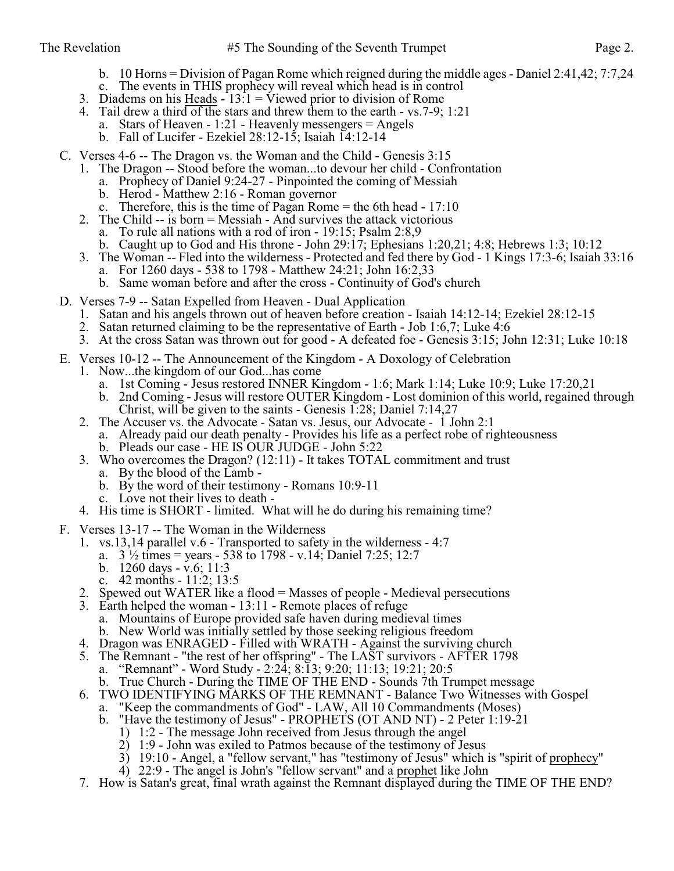- b. 10 Horns = Division of Pagan Rome which reigned during the middle ages Daniel 2:41,42; 7:7,24
- c. The events in THIS prophecy will reveal which head is in control
- 3. Diadems on his  $\frac{Hedds}{dt} 13:1 = \text{Viewed prior to division of Rome}$
- 4. Tail drew a third of the stars and threw them to the earth vs.7-9; 1:21
	- a. Stars of Heaven 1:21 Heavenly messengers = Angels
	- b. Fall of Lucifer Ezekiel 28:12-15; Isaiah 14:12-14
- C. Verses 4-6 -- The Dragon vs. the Woman and the Child Genesis 3:15
	- 1. The Dragon -- Stood before the woman...to devour her child Confrontation
		- a. Prophecy of Daniel 9:24-27 Pinpointed the coming of Messiah
		- b. Herod Matthew 2:16 Roman governor
		- c. Therefore, this is the time of Pagan Rome  $=$  the 6th head  $-17:10$
	- 2. The Child -- is born = Messiah And survives the attack victorious
		- a. To rule all nations with a rod of iron 19:15; Psalm 2:8,9
		- b. Caught up to God and His throne John 29:17; Ephesians 1:20,21; 4:8; Hebrews 1:3; 10:12
	- 3. The Woman -- Fled into the wilderness Protected and fed there by God 1 Kings 17:3-6; Isaiah 33:16
		- a. For 1260 days 538 to 1798 Matthew 24:21; John 16:2,33
		- b. Same woman before and after the cross Continuity of God's church
- D. Verses 7-9 -- Satan Expelled from Heaven Dual Application
	- 1. Satan and his angels thrown out of heaven before creation Isaiah 14:12-14; Ezekiel 28:12-15
	- 2. Satan returned claiming to be the representative of Earth Job 1:6,7; Luke 4:6
	- 3. At the cross Satan was thrown out for good A defeated foe Genesis 3:15; John 12:31; Luke 10:18
- E. Verses 10-12 -- The Announcement of the Kingdom A Doxology of Celebration
	- 1. Now...the kingdom of our God...has come
		- a. 1st Coming Jesus restored INNER Kingdom 1:6; Mark 1:14; Luke 10:9; Luke 17:20,21
		- b. 2nd Coming Jesus will restore OUTER Kingdom Lost dominion of this world, regained through Christ, will be given to the saints - Genesis 1:28; Daniel 7:14,27
	- 2. The Accuser vs. the Advocate Satan vs. Jesus, our Advocate 1 John 2:1
		- a. Already paid our death penalty Provides his life as a perfect robe of righteousness
		- b. Pleads our case HE IS OUR JUDGE John 5:22
	- 3. Who overcomes the Dragon? (12:11) It takes TOTAL commitment and trust
		- a. By the blood of the Lamb -
		- b. By the word of their testimony Romans 10:9-11
		- c. Love not their lives to death -
	- 4. His time is SHORT limited. What will he do during his remaining time?
- F. Verses 13-17 -- The Woman in the Wilderness
	- 1. vs.13,14 parallel v.6 Transported to safety in the wilderness 4:7
		- a.  $3\frac{1}{2}$  times = years 538 to 1798 v.14; Daniel 7:25; 12:7
		- b. 1260 days v.6; 11:3
		- c. 42 months 11:2; 13:5
	- 2. Spewed out WATER like a flood = Masses of people Medieval persecutions
	- 3. Earth helped the woman 13:11 Remote places of refuge
		- a. Mountains of Europe provided safe haven during medieval times
		- b. New World was initially settled by those seeking religious freedom
	- 4. Dragon was ENRAGED Filled with WRATH Against the surviving church
	- 5. The Remnant "the rest of her offspring" The LAST survivors AFTER 1798
		- a. "Remnant" Word Study 2:24; 8:13; 9:20; 11:13; 19:21; 20:5
		- b. True Church During the TIME OF THE END Sounds 7th Trumpet message
	- 6. TWO IDENTIFYING MARKS OF THE REMNANT Balance Two Witnesses with Gospel
		- a. "Keep the commandments of God" LAW, All 10 Commandments (Moses)
		- b. "Have the testimony of Jesus" PROPHETS (OT AND NT) 2 Peter 1:19-21
			- 1) 1:2 The message John received from Jesus through the angel
			- 2) 1:9 John was exiled to Patmos because of the testimony of Jesus
			- 3) 19:10 Angel, a "fellow servant," has "testimony of Jesus" which is "spirit of prophecy"
			- 4) 22:9 The angel is John's "fellow servant" and a prophet like John
	- 7. How is Satan's great, final wrath against the Remnant displayed during the TIME OF THE END?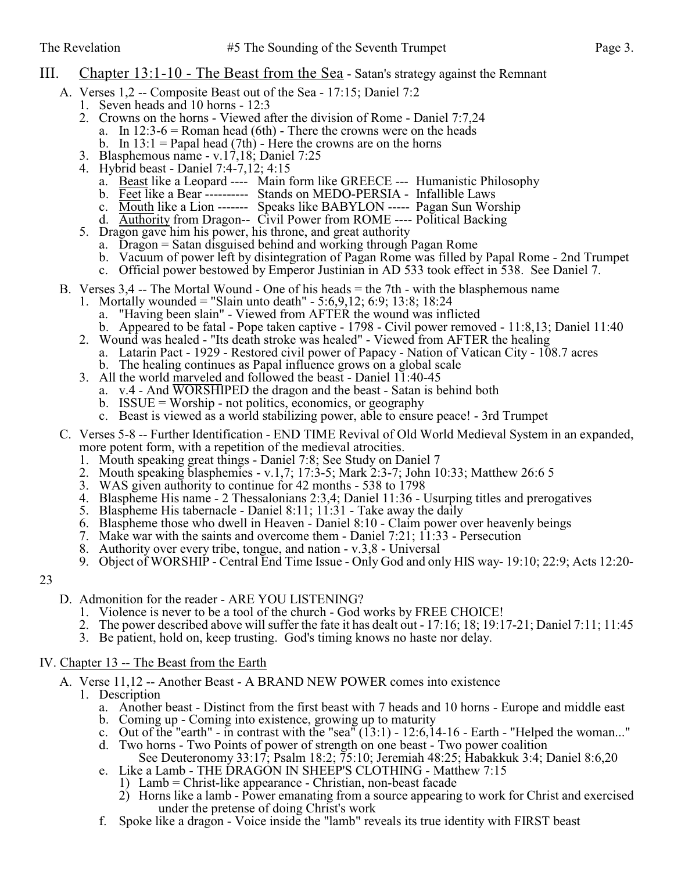#### III. Chapter 13:1-10 - The Beast from the Sea - Satan's strategy against the Remnant

- A. Verses 1,2 -- Composite Beast out of the Sea 17:15; Daniel 7:2
	- 1. Seven heads and 10 horns 12:3
	- 2. Crowns on the horns Viewed after the division of Rome Daniel 7:7,24
		- a. In  $12:3-6$  = Roman head (6th) There the crowns were on the heads
		- b. In  $13:1$  = Papal head (7th) Here the crowns are on the horns
	- 3. Blasphemous name v.17,18; Daniel 7:25
	- 4. Hybrid beast Daniel 7:4-7,12; 4:15
		- a. Beast like a Leopard ---- Main form like GREECE --- Humanistic Philosophy
		- b. Feet like a Bear ---------- Stands on MEDO-PERSIA Infallible Laws
		- c. Mouth like a Lion ------- Speaks like BABYLON ----- Pagan Sun Worship
		- d. Authority from Dragon-- Civil Power from ROME ---- Political Backing
	- 5. Dragon gave him his power, his throne, and great authority
		- a. Dragon = Satan disguised behind and working through Pagan Rome
		- b. Vacuum of power left by disintegration of Pagan Rome was filled by Papal Rome 2nd Trumpet
		- c. Official power bestowed by Emperor Justinian in AD 533 took effect in 538. See Daniel 7.
- B. Verses  $3,4$  -- The Mortal Wound One of his heads = the 7th with the blasphemous name
	- 1. Mortally wounded = "Slain unto death" 5:6,9,12; 6:9; 13:8; 18:24
		- a. "Having been slain" Viewed from AFTER the wound was inflicted
		- b. Appeared to be fatal Pope taken captive 1798 Civil power removed 11:8,13; Daniel 11:40
	- 2. Wound was healed "Its death stroke was healed" Viewed from AFTER the healing a. Latarin Pact - 1929 - Restored civil power of Papacy - Nation of Vatican City - 108.7 acres b. The healing continues as Papal influence grows on a global scale
	- 3. All the world marveled and followed the beast Daniel 11:40-45
		- a. v.4 And WORSHIPED the dragon and the beast Satan is behind both
			- b. ISSUE = Worship not politics, economics, or geography
			- c. Beast is viewed as a world stabilizing power, able to ensure peace! 3rd Trumpet
- C. Verses 5-8 -- Further Identification END TIME Revival of Old World Medieval System in an expanded, more potent form, with a repetition of the medieval atrocities.
	- 1. Mouth speaking great things Daniel 7:8; See Study on Daniel 7
	- 2. Mouth speaking blasphemies v.1,7; 17:3-5; Mark 2:3-7; John 10:33; Matthew 26:6 5
	- 3. WAS given authority to continue for 42 months 538 to 1798
	- 4. Blaspheme His name 2 Thessalonians 2:3,4; Daniel 11:36 Usurping titles and prerogatives
	- 5. Blaspheme His tabernacle Daniel 8:11; 11:31 Take away the daily
	- 6. Blaspheme those who dwell in Heaven Daniel 8:10 Claim power over heavenly beings
	- 7. Make war with the saints and overcome them Daniel 7:21; 11:33 Persecution
	- 8. Authority over every tribe, tongue, and nation v.3,8 Universal
	- 9. Object of WORSHIP Central End Time Issue Only God and only HIS way- 19:10; 22:9; Acts 12:20-

23

- D. Admonition for the reader ARE YOU LISTENING?
	- 1. Violence is never to be a tool of the church God works by FREE CHOICE!
	- 2. The power described above will suffer the fate it has dealt out 17:16; 18; 19:17-21; Daniel 7:11; 11:45
	- 3. Be patient, hold on, keep trusting. God's timing knows no haste nor delay.

#### IV. Chapter 13 -- The Beast from the Earth

- A. Verse 11,12 -- Another Beast A BRAND NEW POWER comes into existence
	- 1. Description
		- a. Another beast Distinct from the first beast with 7 heads and 10 horns Europe and middle east
		- b. Coming up Coming into existence, growing up to maturity
		- c. Out of the "earth" in contrast with the "sea"  $(13:1)$  12:6,14-16 Earth "Helped the woman..."
		- d. Two horns Two Points of power of strength on one beast Two power coalition
		- See Deuteronomy 33:17; Psalm 18:2; 75:10; Jeremiah 48:25; Habakkuk 3:4; Daniel 8:6,20 e. Like a Lamb - THE DRAGON IN SHEEP'S CLOTHING - Matthew 7:15
			- 1) Lamb = Christ-like appearance Christian, non-beast facade
			- 2) Horns like a lamb Power emanating from a source appearing to work for Christ and exercised under the pretense of doing Christ's work
		- f. Spoke like a dragon Voice inside the "lamb" reveals its true identity with FIRST beast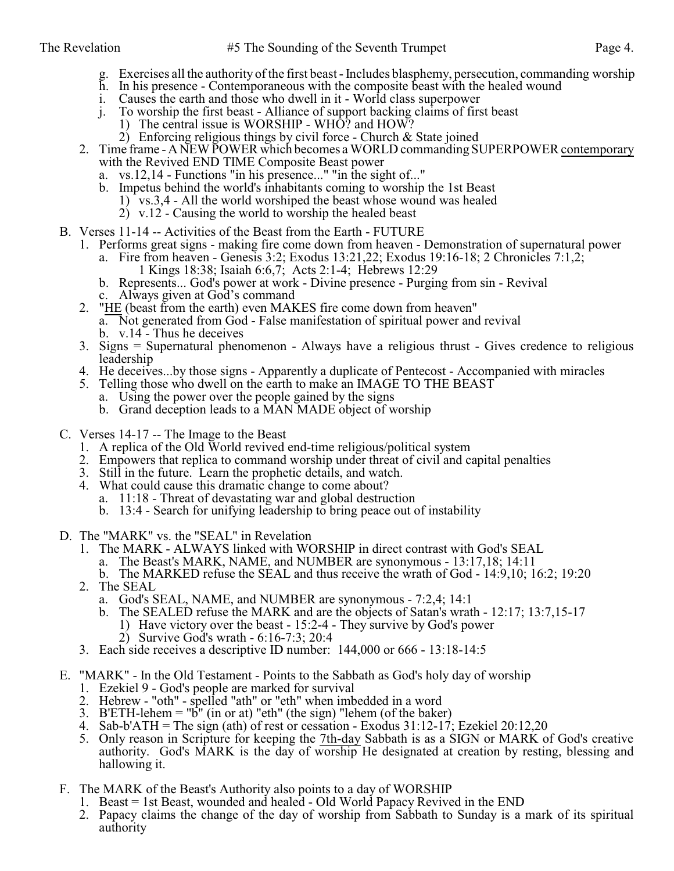- g. Exercises all the authority of the first beast Includes blasphemy, persecution, commanding worship
- h. In his presence Contemporaneous with the composite beast with the healed wound
- i. Causes the earth and those who dwell in it World class superpower
- j. To worship the first beast Alliance of support backing claims of first beast
	- 1) The central issue is WORSHIP WHO? and HOW?
		- 2) Enforcing religious things by civil force Church  $&$  State joined
- 2. Time frame A NEW POWER which becomes a WORLD commanding SUPERPOWER contemporary with the Revived END TIME Composite Beast power
	- a. vs.12,14 Functions "in his presence..." "in the sight of..."
	- b. Impetus behind the world's inhabitants coming to worship the 1st Beast
		- 1) vs.3,4 All the world worshiped the beast whose wound was healed
		- $2)$  v.12 Causing the world to worship the healed beast
- B. Verses 11-14 -- Activities of the Beast from the Earth FUTURE
	- 1. Performs great signs making fire come down from heaven Demonstration of supernatural power
		- a. Fire from heaven Genesis 3:2; Exodus 13:21,22; Exodus 19:16-18; 2 Chronicles 7:1,2; 1 Kings 18:38; Isaiah 6:6,7; Acts 2:1-4; Hebrews 12:29
		- b. Represents... God's power at work Divine presence Purging from sin Revival c. Always given at God's command
	- 2. "HE (beast from the earth) even MAKES fire come down from heaven" a. Not generated from God - False manifestation of spiritual power and revival b. v.14 - Thus he deceives
	- 3. Signs = Supernatural phenomenon Always have a religious thrust Gives credence to religious leadership
	- 4. He deceives...by those signs Apparently a duplicate of Pentecost Accompanied with miracles
	- 5. Telling those who dwell on the earth to make an IMAGE TO THE BEAST
		- a. Using the power over the people gained by the signs
		- b. Grand deception leads to a MAN MADE object of worship
- C. Verses 14-17 -- The Image to the Beast
	- 1. A replica of the Old World revived end-time religious/political system
	- 2. Empowers that replica to command worship under threat of civil and capital penalties
	- 3. Still in the future. Learn the prophetic details, and watch.
	- 4. What could cause this dramatic change to come about?
		- a. 11:18 Threat of devastating war and global destruction
		- b. 13:4 Search for unifying leadership to bring peace out of instability
- D. The "MARK" vs. the "SEAL" in Revelation
	- 1. The MARK ALWAYS linked with WORSHIP in direct contrast with God's SEAL
		- a. The Beast's MARK, NAME, and NUMBER are synonymous 13:17,18; 14:11
	- b. The MARKED refuse the SEAL and thus receive the wrath of God 14:9,10; 16:2; 19:20
	- 2. The SEAL
		- a. God's SEAL, NAME, and NUMBER are synonymous 7:2,4; 14:1
		- b. The SEALED refuse the MARK and are the objects of Satan's wrath 12:17; 13:7,15-17
			- 1) Have victory over the beast 15:2-4 They survive by God's power
			- 2) Survive God's wrath 6:16-7:3; 20:4
	- 3. Each side receives a descriptive ID number: 144,000 or 666 13:18-14:5
- E. "MARK" In the Old Testament Points to the Sabbath as God's holy day of worship
	- 1. Ezekiel 9 God's people are marked for survival
	- 2. Hebrew "oth" spelled "ath" or "eth" when imbedded in a word
	- 3. B'ETH-lehem = "b" (in or at) "eth" (the sign) "lehem (of the baker)
	- 4. Sab-b'ATH = The sign (ath) of rest or cessation Exodus  $31:12-17$ ; Ezekiel 20:12,20
	- 5. Only reason in Scripture for keeping the 7th-day Sabbath is as a SIGN or MARK of God's creative authority. God's MARK is the day of worship He designated at creation by resting, blessing and hallowing it.
- F. The MARK of the Beast's Authority also points to a day of WORSHIP
	- 1. Beast = 1st Beast, wounded and healed Old World Papacy Revived in the END
	- 2. Papacy claims the change of the day of worship from Sabbath to Sunday is a mark of its spiritual authority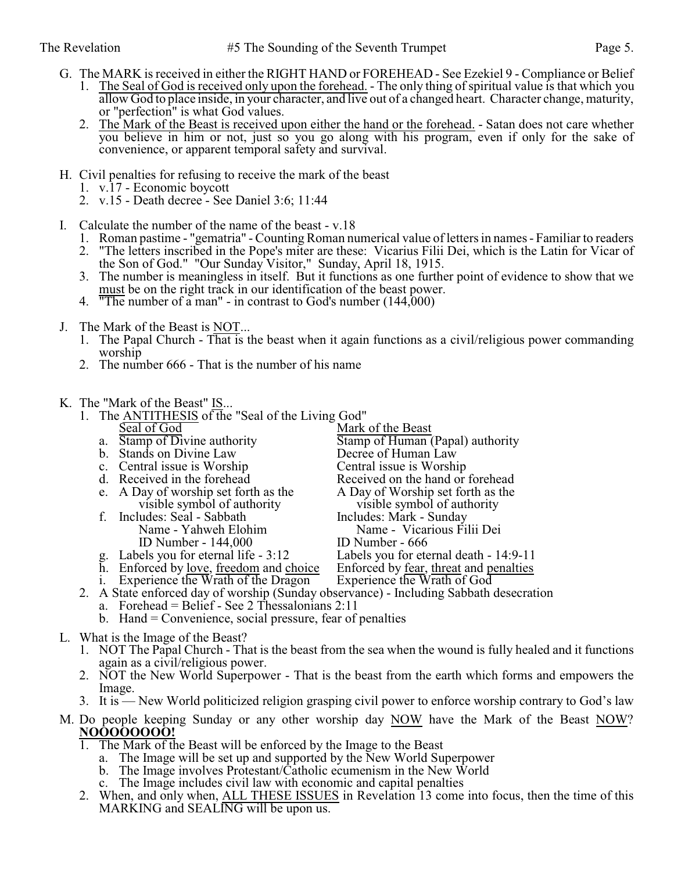- G. The MARK is received in either the RIGHT HAND or FOREHEAD See Ezekiel 9 Compliance or Belief 1. The Seal of God is received only upon the forehead. - The only thing of spiritual value is that which you allow God to place inside, in your character, and live out of a changed heart. Character change, maturity, or "perfection" is what God values.
	- 2. The Mark of the Beast is received upon either the hand or the forehead. Satan does not care whether you believe in him or not, just so you go along with his program, even if only for the sake of convenience, or apparent temporal safety and survival.
- H. Civil penalties for refusing to receive the mark of the beast
	- 1. v.17 Economic boycott
	- 2. v.15 Death decree See Daniel 3:6; 11:44
- I. Calculate the number of the name of the beast v.18
	- 1. Roman pastime "gematria" Counting Roman numerical value of letters in names Familiar to readers
	- 2. "The letters inscribed in the Pope's miter are these: Vicarius Filii Dei, which is the Latin for Vicar of the Son of God." "Our Sunday Visitor," Sunday, April 18, 1915.
	- 3. The number is meaningless in itself. But it functions as one further point of evidence to show that we must be on the right track in our identification of the beast power.
	- 4. "The number of a man" in contrast to God's number (144,000)
- J. The Mark of the Beast is NOT...
	- 1. The Papal Church That is the beast when it again functions as a civil/religious power commanding worship
	- 2. The number 666 That is the number of his name
- K. The "Mark of the Beast" IS...
	- 1. The ANTITHESIS of the "Seal of the Living God"<br>Seal of God Mark Seal of God<br>
	a. Stamp of Divine authority<br>
	Stamp of Human ( Stamp of Human (Papal) authority<br>Decree of Human Law b. Stands on Divine Law Decree of Human Law C. Central issue is Worship c. Central issue is Worship<br>d. Received in the forehead Received on the hand or forehead<br>A Day of Worship set forth as the e. A Day of worship set forth as the <br>visible symbol of authority visible symbol of authority visible symbol of authority visible symbol of authority f. Includes: Seal - Sabbath<br>Name - Yahweh Elohim Name - Vicarious Filii Dei<br>ID Number - 666 ID Number - 144,000<br>g. Labels you for eternal life - 3:12 Labels you for eternal death - 14:9-11<br>Enforced by fear, threat and penalties h. Enforced by <u>love, freedom</u> and choice Enforced by <u>fear, threat</u> and periodic in Experience the Wrath of God i. Experience the Wrath of the Dragon 2. A State enforced day of worship (Sunday observance) - Including Sabbath desecration a. Forehead = Belief - See 2 Thessalonians  $2:11$ b. Hand = Convenience, social pressure, fear of penalties
- L. What is the Image of the Beast?
	- 1. NOT The Papal Church That is the beast from the sea when the wound is fully healed and it functions again as a civil/religious power.
	- 2. NOT the New World Superpower That is the beast from the earth which forms and empowers the Image.
	- 3. It is New World politicized religion grasping civil power to enforce worship contrary to God's law
- M. Do people keeping Sunday or any other worship day NOW have the Mark of the Beast NOW? **NOOOOOOOO!**
	- 1. The Mark of the Beast will be enforced by the Image to the Beast
		- a. The Image will be set up and supported by the New World Superpower
		- b. The Image involves Protestant/Catholic ecumenism in the New World
		- c. The Image includes civil law with economic and capital penalties
	- 2. When, and only when, ALL THESE ISSUES in Revelation 13 come into focus, then the time of this MARKING and SEALING will be upon us.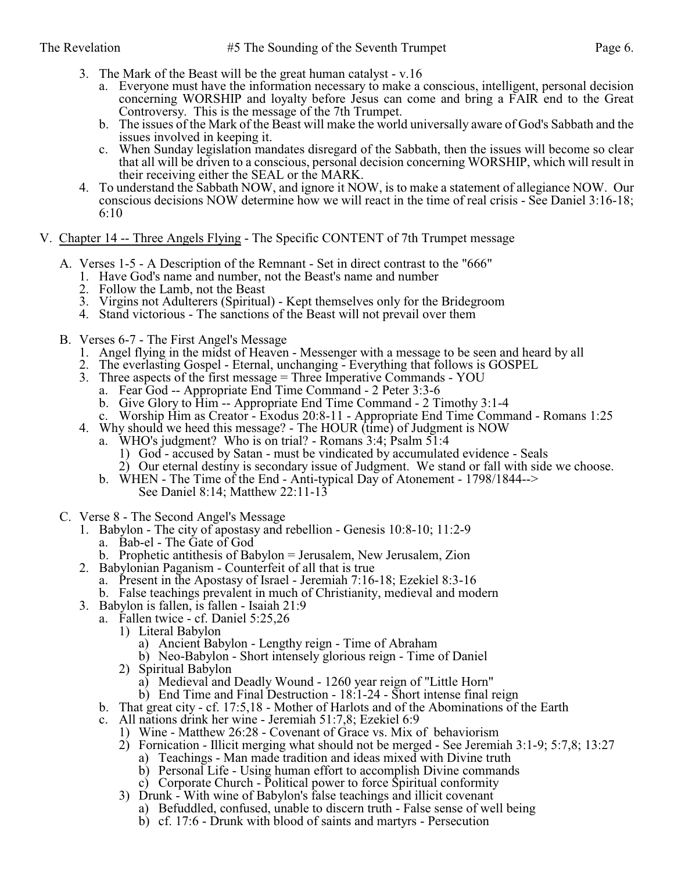- 3. The Mark of the Beast will be the great human catalyst v.16
	- a. Everyone must have the information necessary to make a conscious, intelligent, personal decision concerning WORSHIP and loyalty before Jesus can come and bring a FAIR end to the Great Controversy. This is the message of the 7th Trumpet.
	- b. The issues of the Mark of the Beast will make the world universally aware of God's Sabbath and the issues involved in keeping it.
	- c. When Sunday legislation mandates disregard of the Sabbath, then the issues will become so clear that all will be driven to a conscious, personal decision concerning WORSHIP, which will result in their receiving either the SEAL or the MARK.
- 4. To understand the Sabbath NOW, and ignore it NOW, is to make a statement of allegiance NOW. Our conscious decisions NOW determine how we will react in the time of real crisis - See Daniel 3:16-18; 6:10
- V. Chapter 14 -- Three Angels Flying The Specific CONTENT of 7th Trumpet message
	- A. Verses 1-5 A Description of the Remnant Set in direct contrast to the "666"
		- 1. Have God's name and number, not the Beast's name and number
		- 2. Follow the Lamb, not the Beast
		- 3. Virgins not Adulterers (Spiritual) Kept themselves only for the Bridegroom
		- 4. Stand victorious The sanctions of the Beast will not prevail over them
	- B. Verses 6-7 The First Angel's Message
		- 1. Angel flying in the midst of Heaven Messenger with a message to be seen and heard by all
		- 2. The everlasting Gospel Eternal, unchanging Everything that follows is GOSPEL
		- 3. Three aspects of the first message = Three Imperative Commands YOU
			- a. Fear God -- Appropriate End Time Command 2 Peter 3:3-6
				- b. Give Glory to Him -- Appropriate End Time Command 2 Timothy 3:1-4
		- c. Worship Him as Creator Exodus 20:8-11 Appropriate End Time Command Romans 1:25
		- 4. Why should we heed this message? The HOUR (time) of Judgment is NOW
			- a. WHO's judgment? Who is on trial? Romans 3:4; Psalm 51:4
				- 1) God accused by Satan must be vindicated by accumulated evidence Seals
				- 2) Our eternal destiny is secondary issue of Judgment. We stand or fall with side we choose.
			- b. WHEN The Time of the End Anti-typical Day of Atonement 1798/1844--> See Daniel 8:14; Matthew 22:11-13
	- C. Verse 8 The Second Angel's Message
		- 1. Babylon The city of apostasy and rebellion Genesis 10:8-10; 11:2-9
			- a. Bab-el The Gate of God
			- b. Prophetic antithesis of Babylon = Jerusalem, New Jerusalem, Zion
		- 2. Babylonian Paganism Counterfeit of all that is true
			- a. Present in the Apostasy of Israel Jeremiah 7:16-18; Ezekiel 8:3-16
			- b. False teachings prevalent in much of Christianity, medieval and modern
		- 3. Babylon is fallen, is fallen Isaiah 21:9
			- a. Fallen twice cf. Daniel 5:25,26
				- 1) Literal Babylon
					- a) Ancient Babylon Lengthy reign Time of Abraham
					- b) Neo-Babylon Short intensely glorious reign Time of Daniel
				- 2) Spiritual Babylon
					- a) Medieval and Deadly Wound 1260 year reign of "Little Horn"
					- b) End Time and Final Destruction 18:1-24 Short intense final reign
			- b. That great city cf. 17:5,18 Mother of Harlots and of the Abominations of the Earth
			- c. All nations drink her wine Jeremiah 51:7,8; Ezekiel 6:9
				- 1) Wine Matthew 26:28 Covenant of Grace vs. Mix of behaviorism
				- 2) Fornication Illicit merging what should not be merged See Jeremiah 3:1-9; 5:7,8; 13:27
					- a) Teachings Man made tradition and ideas mixed with Divine truth
					- b) Personal Life Using human effort to accomplish Divine commands
					- c) Corporate Church Political power to force Spiritual conformity
				- 3) Drunk With wine of Babylon's false teachings and illicit covenant
					- a) Befuddled, confused, unable to discern truth False sense of well being
					- b) cf. 17:6 Drunk with blood of saints and martyrs Persecution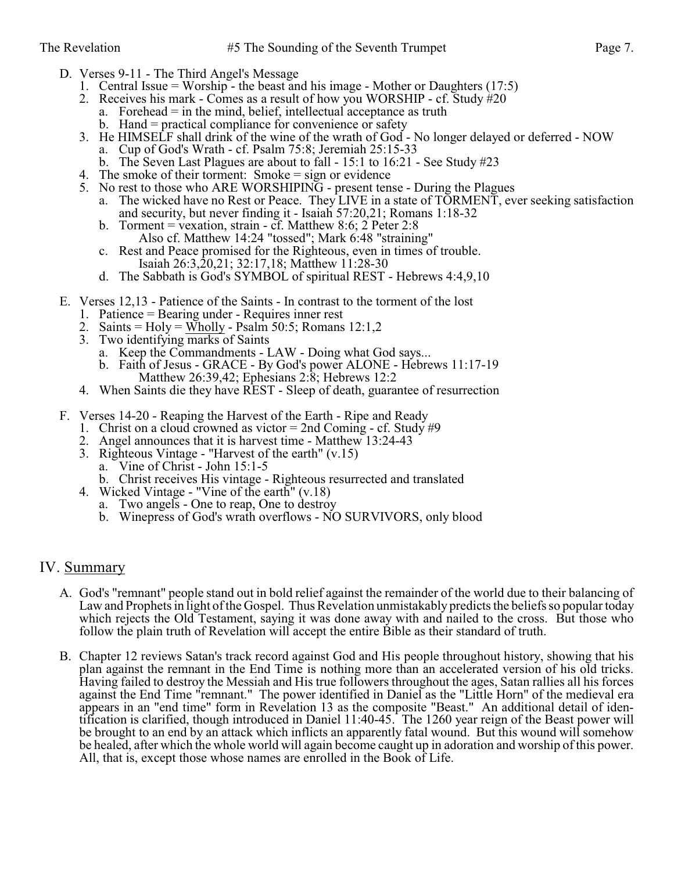- D. Verses 9-11 The Third Angel's Message
	- 1. Central Issue = Worship the beast and his image Mother or Daughters (17:5)
	- 2. Receives his mark Comes as a result of how you WORSHIP cf. Study  $\#20$ 
		- a. Forehead  $=$  in the mind, belief, intellectual acceptance as truth
		- b. Hand = practical compliance for convenience or safety
	- 3. He HIMSELF shall drink of the wine of the wrath of God No longer delayed or deferred NOW
		- a. Cup of God's Wrath cf. Psalm 75:8; Jeremiah 25:15-33
		- b. The Seven Last Plagues are about to fall 15:1 to 16:21 See Study #23
	- 4. The smoke of their torment: Smoke = sign or evidence
	- 5. No rest to those who ARE WORSHIPING present tense During the Plagues a. The wicked have no Rest or Peace. They LIVE in a state of TORMENT, ever seeking satisfaction
		- and security, but never finding it Isaiah 57:20,21; Romans 1:18-32
		- b. Torment = vexation, strain cf. Matthew 8:6; 2 Peter 2:8 Also cf. Matthew 14:24 "tossed"; Mark 6:48 "straining"
		- c. Rest and Peace promised for the Righteous, even in times of trouble. Isaiah 26:3,20,21; 32:17,18; Matthew 11:28-30
		- d. The Sabbath is God's SYMBOL of spiritual REST Hebrews 4:4,9,10
- E. Verses 12,13 Patience of the Saints In contrast to the torment of the lost
	- 1. Patience = Bearing under Requires inner rest
	- 2. Saints = Holy = Wholly Psalm 50:5; Romans  $12:1,2$
	- 3. Two identifying marks of Saints
		- a. Keep the Commandments LAW Doing what God says...
		- b. Faith of Jesus GRACE By God's power ALONE Hebrews 11:17-19 Matthew 26:39,42; Ephesians 2:8; Hebrews 12:2
	- 4. When Saints die they have REST Sleep of death, guarantee of resurrection
- F. Verses 14-20 Reaping the Harvest of the Earth Ripe and Ready
	- 1. Christ on a cloud crowned as victor = 2nd Coming cf. Study  $\#9$
	- 2. Angel announces that it is harvest time Matthew 13:24-43
	- 3. Righteous Vintage "Harvest of the earth" (v.15)
		- a. Vine of Christ John 15:1-5
		- b. Christ receives His vintage Righteous resurrected and translated
	- 4. Wicked Vintage "Vine of the earth" (v.18)
		- a. Two angels One to reap, One to destroy
		- b. Winepress of God's wrath overflows NO SURVIVORS, only blood

### IV. Summary

- A. God's "remnant" people stand out in bold relief against the remainder of the world due to their balancing of Law and Prophets in light of the Gospel. Thus Revelation unmistakably predicts the beliefs so popular today which rejects the Old Testament, saying it was done away with and nailed to the cross. But those who follow the plain truth of Revelation will accept the entire Bible as their standard of truth.
- B. Chapter 12 reviews Satan's track record against God and His people throughout history, showing that his plan against the remnant in the End Time is nothing more than an accelerated version of his old tricks. Having failed to destroy the Messiah and His true followers throughout the ages, Satan rallies all his forces against the End Time "remnant." The power identified in Daniel as the "Little Horn" of the medieval era appears in an "end time" form in Revelation 13 as the composite "Beast." An additional detail of identification is clarified, though introduced in Daniel 11:40-45. The 1260 year reign of the Beast power will be brought to an end by an attack which inflicts an apparently fatal wound. But this wound will somehow be healed, after which the whole world will again become caught up in adoration and worship of this power. All, that is, except those whose names are enrolled in the Book of Life.